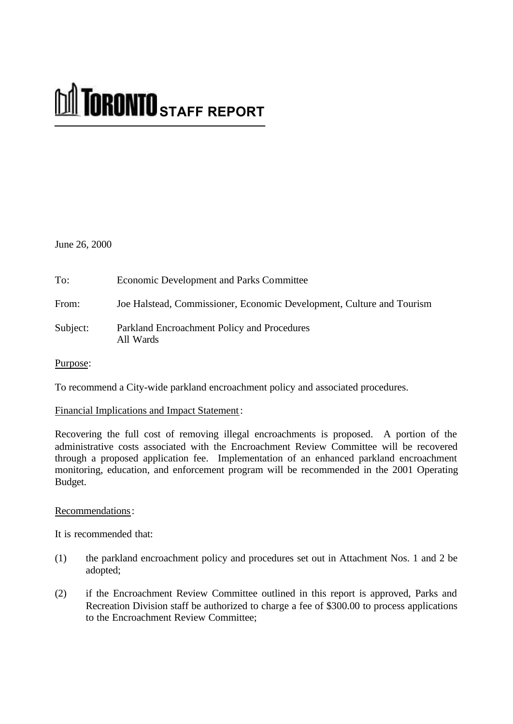# **M** TORONTO STAFF REPORT

June 26, 2000

| To:      | <b>Economic Development and Parks Committee</b>                       |
|----------|-----------------------------------------------------------------------|
| From:    | Joe Halstead, Commissioner, Economic Development, Culture and Tourism |
| Subject: | Parkland Encroachment Policy and Procedures<br>All Wards              |

Purpose:

To recommend a City-wide parkland encroachment policy and associated procedures.

## Financial Implications and Impact Statement:

Recovering the full cost of removing illegal encroachments is proposed. A portion of the administrative costs associated with the Encroachment Review Committee will be recovered through a proposed application fee. Implementation of an enhanced parkland encroachment monitoring, education, and enforcement program will be recommended in the 2001 Operating Budget.

## Recommendations:

It is recommended that:

- (1) the parkland encroachment policy and procedures set out in Attachment Nos. 1 and 2 be adopted;
- (2) if the Encroachment Review Committee outlined in this report is approved, Parks and Recreation Division staff be authorized to charge a fee of \$300.00 to process applications to the Encroachment Review Committee;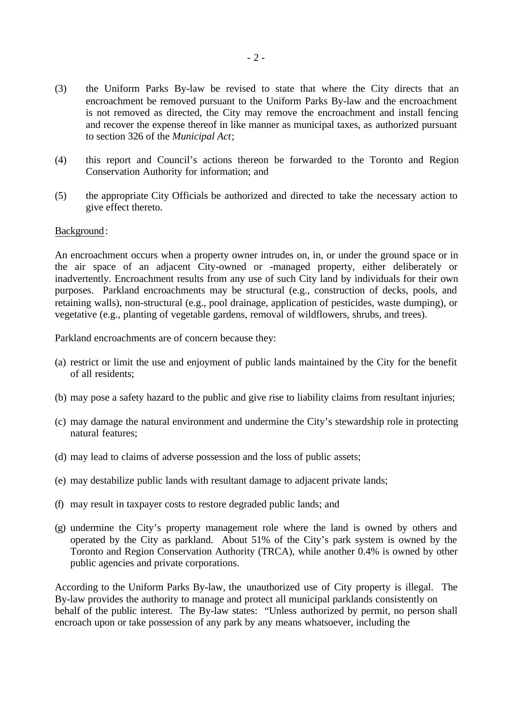- (3) the Uniform Parks By-law be revised to state that where the City directs that an encroachment be removed pursuant to the Uniform Parks By-law and the encroachment is not removed as directed, the City may remove the encroachment and install fencing and recover the expense thereof in like manner as municipal taxes, as authorized pursuant to section 326 of the *Municipal Act*;
- (4) this report and Council's actions thereon be forwarded to the Toronto and Region Conservation Authority for information; and
- (5) the appropriate City Officials be authorized and directed to take the necessary action to give effect thereto.

#### Background:

An encroachment occurs when a property owner intrudes on, in, or under the ground space or in the air space of an adjacent City-owned or -managed property, either deliberately or inadvertently. Encroachment results from any use of such City land by individuals for their own purposes. Parkland encroachments may be structural (e.g., construction of decks, pools, and retaining walls), non-structural (e.g., pool drainage, application of pesticides, waste dumping), or vegetative (e.g., planting of vegetable gardens, removal of wildflowers, shrubs, and trees).

Parkland encroachments are of concern because they:

- (a) restrict or limit the use and enjoyment of public lands maintained by the City for the benefit of all residents;
- (b) may pose a safety hazard to the public and give rise to liability claims from resultant injuries;
- (c) may damage the natural environment and undermine the City's stewardship role in protecting natural features;
- (d) may lead to claims of adverse possession and the loss of public assets;
- (e) may destabilize public lands with resultant damage to adjacent private lands;
- (f) may result in taxpayer costs to restore degraded public lands; and
- (g) undermine the City's property management role where the land is owned by others and operated by the City as parkland. About 51% of the City's park system is owned by the Toronto and Region Conservation Authority (TRCA), while another 0.4% is owned by other public agencies and private corporations.

According to the Uniform Parks By-law, the unauthorized use of City property is illegal. The By-law provides the authority to manage and protect all municipal parklands consistently on behalf of the public interest. The By-law states: "Unless authorized by permit, no person shall encroach upon or take possession of any park by any means whatsoever, including the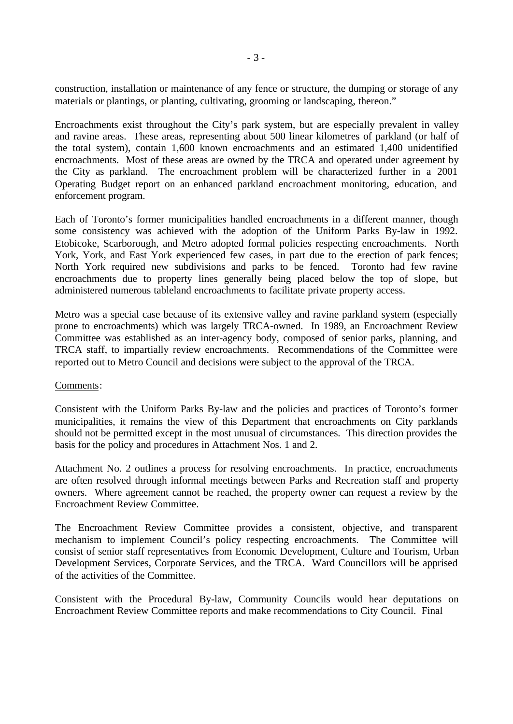construction, installation or maintenance of any fence or structure, the dumping or storage of any materials or plantings, or planting, cultivating, grooming or landscaping, thereon."

Encroachments exist throughout the City's park system, but are especially prevalent in valley and ravine areas. These areas, representing about 500 linear kilometres of parkland (or half of the total system), contain 1,600 known encroachments and an estimated 1,400 unidentified encroachments. Most of these areas are owned by the TRCA and operated under agreement by the City as parkland. The encroachment problem will be characterized further in a 2001 Operating Budget report on an enhanced parkland encroachment monitoring, education, and enforcement program.

Each of Toronto's former municipalities handled encroachments in a different manner, though some consistency was achieved with the adoption of the Uniform Parks By-law in 1992. Etobicoke, Scarborough, and Metro adopted formal policies respecting encroachments. North York, York, and East York experienced few cases, in part due to the erection of park fences; North York required new subdivisions and parks to be fenced. Toronto had few ravine encroachments due to property lines generally being placed below the top of slope, but administered numerous tableland encroachments to facilitate private property access.

Metro was a special case because of its extensive valley and ravine parkland system (especially prone to encroachments) which was largely TRCA-owned. In 1989, an Encroachment Review Committee was established as an inter-agency body, composed of senior parks, planning, and TRCA staff, to impartially review encroachments. Recommendations of the Committee were reported out to Metro Council and decisions were subject to the approval of the TRCA.

#### Comments:

Consistent with the Uniform Parks By-law and the policies and practices of Toronto's former municipalities, it remains the view of this Department that encroachments on City parklands should not be permitted except in the most unusual of circumstances. This direction provides the basis for the policy and procedures in Attachment Nos. 1 and 2.

Attachment No. 2 outlines a process for resolving encroachments. In practice, encroachments are often resolved through informal meetings between Parks and Recreation staff and property owners. Where agreement cannot be reached, the property owner can request a review by the Encroachment Review Committee.

The Encroachment Review Committee provides a consistent, objective, and transparent mechanism to implement Council's policy respecting encroachments. The Committee will consist of senior staff representatives from Economic Development, Culture and Tourism, Urban Development Services, Corporate Services, and the TRCA. Ward Councillors will be apprised of the activities of the Committee.

Consistent with the Procedural By-law, Community Councils would hear deputations on Encroachment Review Committee reports and make recommendations to City Council. Final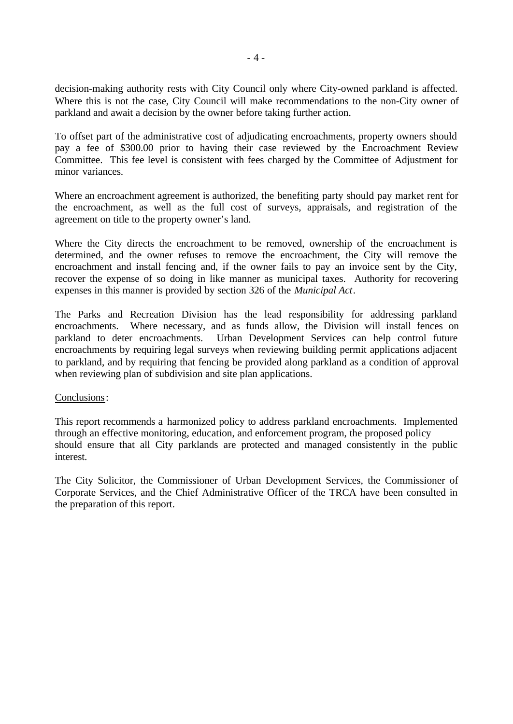decision-making authority rests with City Council only where City-owned parkland is affected. Where this is not the case, City Council will make recommendations to the non-City owner of parkland and await a decision by the owner before taking further action.

To offset part of the administrative cost of adjudicating encroachments, property owners should pay a fee of \$300.00 prior to having their case reviewed by the Encroachment Review Committee. This fee level is consistent with fees charged by the Committee of Adjustment for minor variances.

Where an encroachment agreement is authorized, the benefiting party should pay market rent for the encroachment, as well as the full cost of surveys, appraisals, and registration of the agreement on title to the property owner's land.

Where the City directs the encroachment to be removed, ownership of the encroachment is determined, and the owner refuses to remove the encroachment, the City will remove the encroachment and install fencing and, if the owner fails to pay an invoice sent by the City, recover the expense of so doing in like manner as municipal taxes. Authority for recovering expenses in this manner is provided by section 326 of the *Municipal Act*.

The Parks and Recreation Division has the lead responsibility for addressing parkland encroachments. Where necessary, and as funds allow, the Division will install fences on parkland to deter encroachments. Urban Development Services can help control future encroachments by requiring legal surveys when reviewing building permit applications adjacent to parkland, and by requiring that fencing be provided along parkland as a condition of approval when reviewing plan of subdivision and site plan applications.

### Conclusions:

This report recommends a harmonized policy to address parkland encroachments. Implemented through an effective monitoring, education, and enforcement program, the proposed policy should ensure that all City parklands are protected and managed consistently in the public interest.

The City Solicitor, the Commissioner of Urban Development Services, the Commissioner of Corporate Services, and the Chief Administrative Officer of the TRCA have been consulted in the preparation of this report.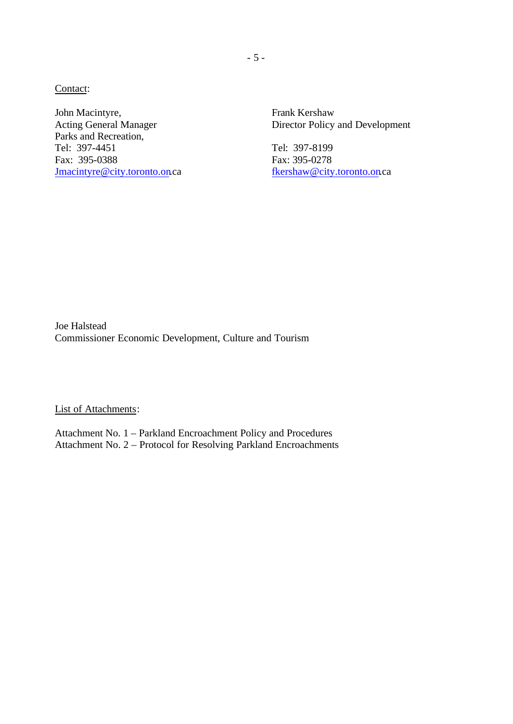Contact:

John Macintyre, Frank Kershaw Parks and Recreation, Tel: 397-4451 Tel: 397-8199 Fax: 395-0388 Fax: 395-0278 Jmacintyre@city.toronto.on.ca fkershaw@city.toronto.on.ca

Acting General Manager Director Policy and Development

Joe Halstead Commissioner Economic Development, Culture and Tourism

List of Attachments:

Attachment No. 1 – Parkland Encroachment Policy and Procedures Attachment No. 2 – Protocol for Resolving Parkland Encroachments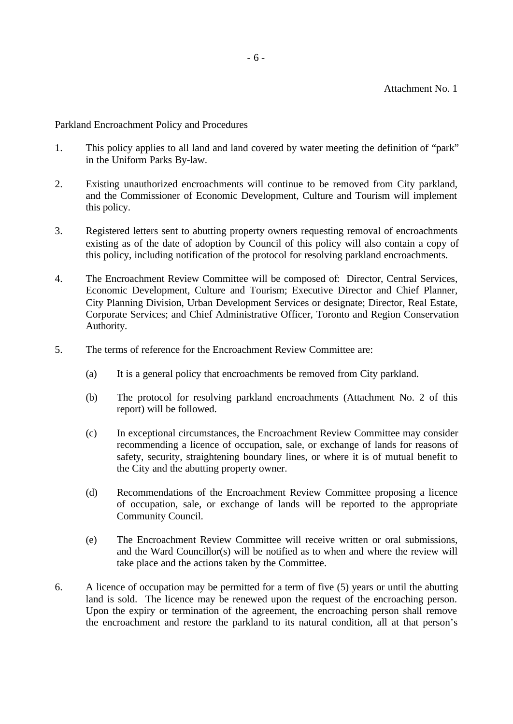Parkland Encroachment Policy and Procedures

- 1. This policy applies to all land and land covered by water meeting the definition of "park" in the Uniform Parks By-law.
- 2. Existing unauthorized encroachments will continue to be removed from City parkland, and the Commissioner of Economic Development, Culture and Tourism will implement this policy.
- 3. Registered letters sent to abutting property owners requesting removal of encroachments existing as of the date of adoption by Council of this policy will also contain a copy of this policy, including notification of the protocol for resolving parkland encroachments.
- 4. The Encroachment Review Committee will be composed of: Director, Central Services, Economic Development, Culture and Tourism; Executive Director and Chief Planner, City Planning Division, Urban Development Services or designate; Director, Real Estate, Corporate Services; and Chief Administrative Officer, Toronto and Region Conservation Authority.
- 5. The terms of reference for the Encroachment Review Committee are:
	- (a) It is a general policy that encroachments be removed from City parkland.
	- (b) The protocol for resolving parkland encroachments (Attachment No. 2 of this report) will be followed.
	- (c) In exceptional circumstances, the Encroachment Review Committee may consider recommending a licence of occupation, sale, or exchange of lands for reasons of safety, security, straightening boundary lines, or where it is of mutual benefit to the City and the abutting property owner.
	- (d) Recommendations of the Encroachment Review Committee proposing a licence of occupation, sale, or exchange of lands will be reported to the appropriate Community Council.
	- (e) The Encroachment Review Committee will receive written or oral submissions, and the Ward Councillor(s) will be notified as to when and where the review will take place and the actions taken by the Committee.
- 6. A licence of occupation may be permitted for a term of five (5) years or until the abutting land is sold. The licence may be renewed upon the request of the encroaching person. Upon the expiry or termination of the agreement, the encroaching person shall remove the encroachment and restore the parkland to its natural condition, all at that person's